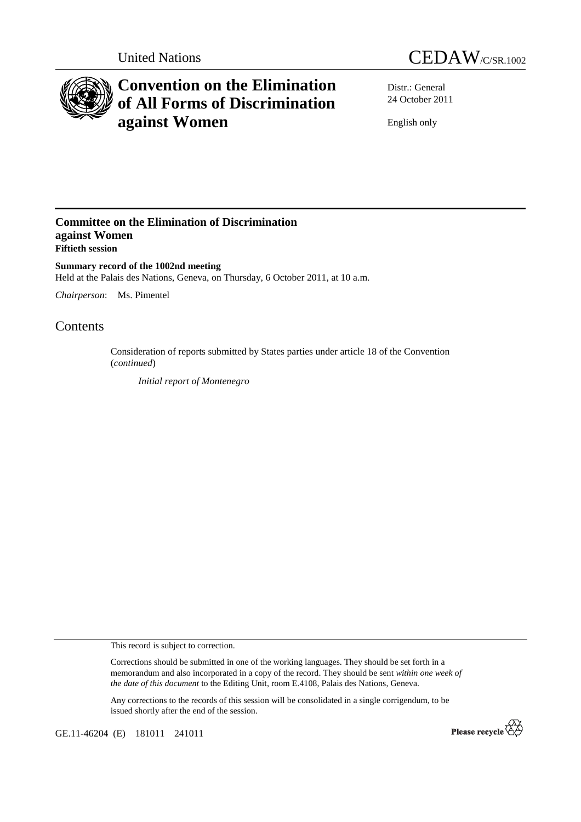



# **Convention on the Elimination of All Forms of Discrimination against Women**

Distr.: General 24 October 2011

English only

## **Committee on the Elimination of Discrimination against Women Fiftieth session**

**Summary record of the 1002nd meeting**  Held at the Palais des Nations, Geneva, on Thursday, 6 October 2011, at 10 a.m.

*Chairperson*: Ms. Pimentel

# Contents

Consideration of reports submitted by States parties under article 18 of the Convention (*continued*)

*Initial report of Montenegro* 

This record is subject to correction.

Corrections should be submitted in one of the working languages. They should be set forth in a memorandum and also incorporated in a copy of the record. They should be sent *within one week of the date of this document* to the Editing Unit, room E.4108, Palais des Nations, Geneva.

Any corrections to the records of this session will be consolidated in a single corrigendum, to be issued shortly after the end of the session.

GE.11-46204 (E) 181011 241011

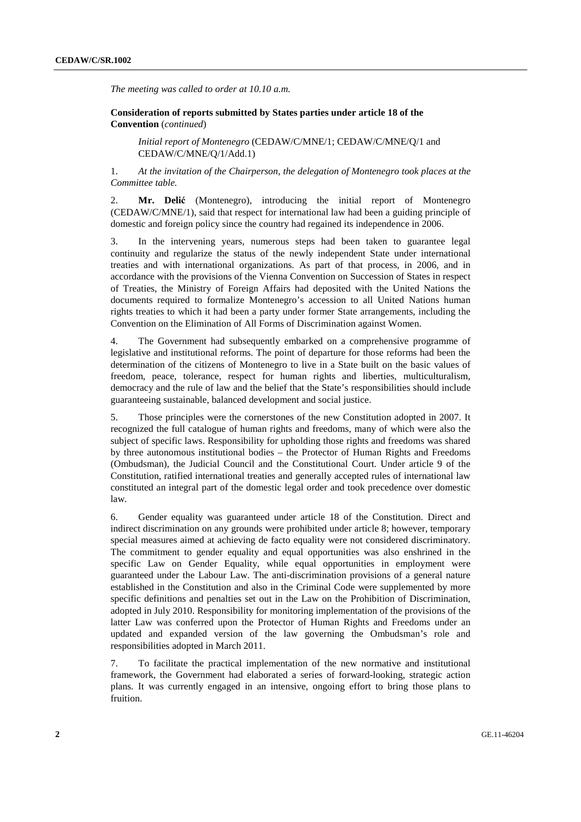*The meeting was called to order at 10.10 a.m.* 

 **Consideration of reports submitted by States parties under article 18 of the Convention** (*continued*)

*Initial report of Montenegro* (CEDAW/C/MNE/1; CEDAW/C/MNE/Q/1 and CEDAW/C/MNE/Q/1/Add.1)

1. *At the invitation of the Chairperson, the delegation of Montenegro took places at the Committee table.* 

2. **Mr. Delić** (Montenegro), introducing the initial report of Montenegro (CEDAW/C/MNE/1), said that respect for international law had been a guiding principle of domestic and foreign policy since the country had regained its independence in 2006.

3. In the intervening years, numerous steps had been taken to guarantee legal continuity and regularize the status of the newly independent State under international treaties and with international organizations. As part of that process, in 2006, and in accordance with the provisions of the Vienna Convention on Succession of States in respect of Treaties, the Ministry of Foreign Affairs had deposited with the United Nations the documents required to formalize Montenegro's accession to all United Nations human rights treaties to which it had been a party under former State arrangements, including the Convention on the Elimination of All Forms of Discrimination against Women.

4. The Government had subsequently embarked on a comprehensive programme of legislative and institutional reforms. The point of departure for those reforms had been the determination of the citizens of Montenegro to live in a State built on the basic values of freedom, peace, tolerance, respect for human rights and liberties, multiculturalism, democracy and the rule of law and the belief that the State's responsibilities should include guaranteeing sustainable, balanced development and social justice.

5. Those principles were the cornerstones of the new Constitution adopted in 2007. It recognized the full catalogue of human rights and freedoms, many of which were also the subject of specific laws. Responsibility for upholding those rights and freedoms was shared by three autonomous institutional bodies – the Protector of Human Rights and Freedoms (Ombudsman), the Judicial Council and the Constitutional Court. Under article 9 of the Constitution, ratified international treaties and generally accepted rules of international law constituted an integral part of the domestic legal order and took precedence over domestic law.

6. Gender equality was guaranteed under article 18 of the Constitution. Direct and indirect discrimination on any grounds were prohibited under article 8; however, temporary special measures aimed at achieving de facto equality were not considered discriminatory. The commitment to gender equality and equal opportunities was also enshrined in the specific Law on Gender Equality, while equal opportunities in employment were guaranteed under the Labour Law. The anti-discrimination provisions of a general nature established in the Constitution and also in the Criminal Code were supplemented by more specific definitions and penalties set out in the Law on the Prohibition of Discrimination, adopted in July 2010. Responsibility for monitoring implementation of the provisions of the latter Law was conferred upon the Protector of Human Rights and Freedoms under an updated and expanded version of the law governing the Ombudsman's role and responsibilities adopted in March 2011.

7. To facilitate the practical implementation of the new normative and institutional framework, the Government had elaborated a series of forward-looking, strategic action plans. It was currently engaged in an intensive, ongoing effort to bring those plans to fruition.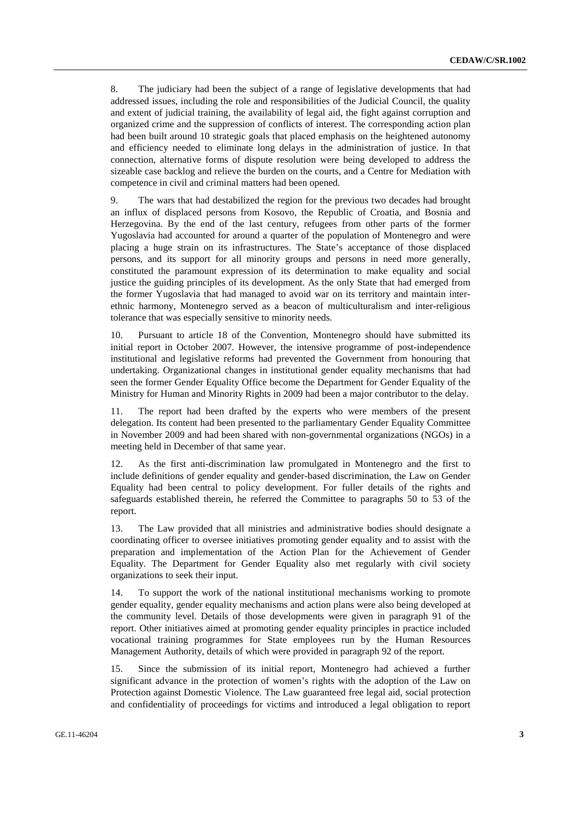8. The judiciary had been the subject of a range of legislative developments that had addressed issues, including the role and responsibilities of the Judicial Council, the quality and extent of judicial training, the availability of legal aid, the fight against corruption and organized crime and the suppression of conflicts of interest. The corresponding action plan had been built around 10 strategic goals that placed emphasis on the heightened autonomy and efficiency needed to eliminate long delays in the administration of justice. In that connection, alternative forms of dispute resolution were being developed to address the sizeable case backlog and relieve the burden on the courts, and a Centre for Mediation with competence in civil and criminal matters had been opened.

9. The wars that had destabilized the region for the previous two decades had brought an influx of displaced persons from Kosovo, the Republic of Croatia, and Bosnia and Herzegovina. By the end of the last century, refugees from other parts of the former Yugoslavia had accounted for around a quarter of the population of Montenegro and were placing a huge strain on its infrastructures. The State's acceptance of those displaced persons, and its support for all minority groups and persons in need more generally, constituted the paramount expression of its determination to make equality and social justice the guiding principles of its development. As the only State that had emerged from the former Yugoslavia that had managed to avoid war on its territory and maintain interethnic harmony, Montenegro served as a beacon of multiculturalism and inter-religious tolerance that was especially sensitive to minority needs.

10. Pursuant to article 18 of the Convention, Montenegro should have submitted its initial report in October 2007. However, the intensive programme of post-independence institutional and legislative reforms had prevented the Government from honouring that undertaking. Organizational changes in institutional gender equality mechanisms that had seen the former Gender Equality Office become the Department for Gender Equality of the Ministry for Human and Minority Rights in 2009 had been a major contributor to the delay.

11. The report had been drafted by the experts who were members of the present delegation. Its content had been presented to the parliamentary Gender Equality Committee in November 2009 and had been shared with non-governmental organizations (NGOs) in a meeting held in December of that same year.

12. As the first anti-discrimination law promulgated in Montenegro and the first to include definitions of gender equality and gender-based discrimination, the Law on Gender Equality had been central to policy development. For fuller details of the rights and safeguards established therein, he referred the Committee to paragraphs 50 to 53 of the report.

13. The Law provided that all ministries and administrative bodies should designate a coordinating officer to oversee initiatives promoting gender equality and to assist with the preparation and implementation of the Action Plan for the Achievement of Gender Equality. The Department for Gender Equality also met regularly with civil society organizations to seek their input.

14. To support the work of the national institutional mechanisms working to promote gender equality, gender equality mechanisms and action plans were also being developed at the community level. Details of those developments were given in paragraph 91 of the report. Other initiatives aimed at promoting gender equality principles in practice included vocational training programmes for State employees run by the Human Resources Management Authority, details of which were provided in paragraph 92 of the report.

15. Since the submission of its initial report, Montenegro had achieved a further significant advance in the protection of women's rights with the adoption of the Law on Protection against Domestic Violence. The Law guaranteed free legal aid, social protection and confidentiality of proceedings for victims and introduced a legal obligation to report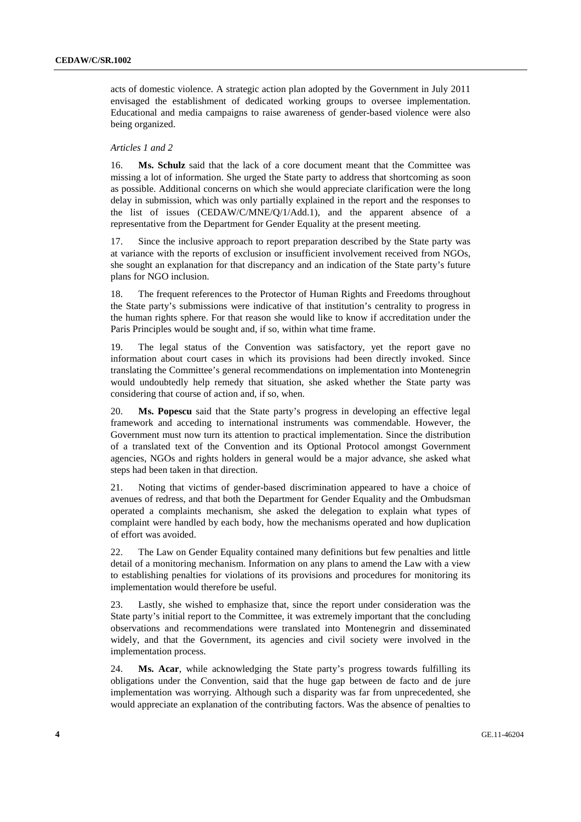acts of domestic violence. A strategic action plan adopted by the Government in July 2011 envisaged the establishment of dedicated working groups to oversee implementation. Educational and media campaigns to raise awareness of gender-based violence were also being organized.

### *Articles 1 and 2*

16. **Ms. Schulz** said that the lack of a core document meant that the Committee was missing a lot of information. She urged the State party to address that shortcoming as soon as possible. Additional concerns on which she would appreciate clarification were the long delay in submission, which was only partially explained in the report and the responses to the list of issues (CEDAW/C/MNE/Q/1/Add.1), and the apparent absence of a representative from the Department for Gender Equality at the present meeting.

17. Since the inclusive approach to report preparation described by the State party was at variance with the reports of exclusion or insufficient involvement received from NGOs, she sought an explanation for that discrepancy and an indication of the State party's future plans for NGO inclusion.

18. The frequent references to the Protector of Human Rights and Freedoms throughout the State party's submissions were indicative of that institution's centrality to progress in the human rights sphere. For that reason she would like to know if accreditation under the Paris Principles would be sought and, if so, within what time frame.

19. The legal status of the Convention was satisfactory, yet the report gave no information about court cases in which its provisions had been directly invoked. Since translating the Committee's general recommendations on implementation into Montenegrin would undoubtedly help remedy that situation, she asked whether the State party was considering that course of action and, if so, when.

20. **Ms. Popescu** said that the State party's progress in developing an effective legal framework and acceding to international instruments was commendable. However, the Government must now turn its attention to practical implementation. Since the distribution of a translated text of the Convention and its Optional Protocol amongst Government agencies, NGOs and rights holders in general would be a major advance, she asked what steps had been taken in that direction.

21. Noting that victims of gender-based discrimination appeared to have a choice of avenues of redress, and that both the Department for Gender Equality and the Ombudsman operated a complaints mechanism, she asked the delegation to explain what types of complaint were handled by each body, how the mechanisms operated and how duplication of effort was avoided.

22. The Law on Gender Equality contained many definitions but few penalties and little detail of a monitoring mechanism. Information on any plans to amend the Law with a view to establishing penalties for violations of its provisions and procedures for monitoring its implementation would therefore be useful.

23. Lastly, she wished to emphasize that, since the report under consideration was the State party's initial report to the Committee, it was extremely important that the concluding observations and recommendations were translated into Montenegrin and disseminated widely, and that the Government, its agencies and civil society were involved in the implementation process.

24. **Ms. Acar**, while acknowledging the State party's progress towards fulfilling its obligations under the Convention, said that the huge gap between de facto and de jure implementation was worrying. Although such a disparity was far from unprecedented, she would appreciate an explanation of the contributing factors. Was the absence of penalties to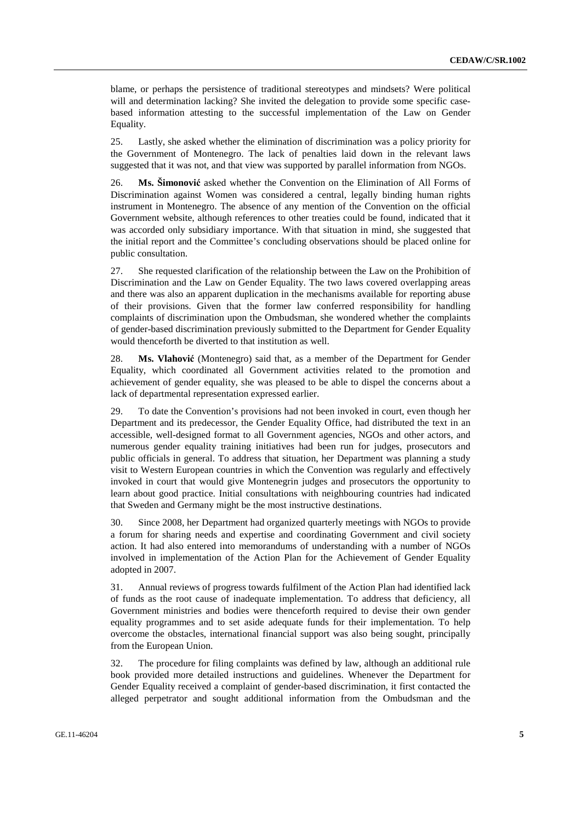blame, or perhaps the persistence of traditional stereotypes and mindsets? Were political will and determination lacking? She invited the delegation to provide some specific casebased information attesting to the successful implementation of the Law on Gender Equality.

25. Lastly, she asked whether the elimination of discrimination was a policy priority for the Government of Montenegro. The lack of penalties laid down in the relevant laws suggested that it was not, and that view was supported by parallel information from NGOs.

26. **Ms. Šimonović** asked whether the Convention on the Elimination of All Forms of Discrimination against Women was considered a central, legally binding human rights instrument in Montenegro. The absence of any mention of the Convention on the official Government website, although references to other treaties could be found, indicated that it was accorded only subsidiary importance. With that situation in mind, she suggested that the initial report and the Committee's concluding observations should be placed online for public consultation.

27. She requested clarification of the relationship between the Law on the Prohibition of Discrimination and the Law on Gender Equality. The two laws covered overlapping areas and there was also an apparent duplication in the mechanisms available for reporting abuse of their provisions. Given that the former law conferred responsibility for handling complaints of discrimination upon the Ombudsman, she wondered whether the complaints of gender-based discrimination previously submitted to the Department for Gender Equality would thenceforth be diverted to that institution as well.

28. **Ms. Vlahović** (Montenegro) said that, as a member of the Department for Gender Equality, which coordinated all Government activities related to the promotion and achievement of gender equality, she was pleased to be able to dispel the concerns about a lack of departmental representation expressed earlier.

29. To date the Convention's provisions had not been invoked in court, even though her Department and its predecessor, the Gender Equality Office, had distributed the text in an accessible, well-designed format to all Government agencies, NGOs and other actors, and numerous gender equality training initiatives had been run for judges, prosecutors and public officials in general. To address that situation, her Department was planning a study visit to Western European countries in which the Convention was regularly and effectively invoked in court that would give Montenegrin judges and prosecutors the opportunity to learn about good practice. Initial consultations with neighbouring countries had indicated that Sweden and Germany might be the most instructive destinations.

30. Since 2008, her Department had organized quarterly meetings with NGOs to provide a forum for sharing needs and expertise and coordinating Government and civil society action. It had also entered into memorandums of understanding with a number of NGOs involved in implementation of the Action Plan for the Achievement of Gender Equality adopted in 2007.

31. Annual reviews of progress towards fulfilment of the Action Plan had identified lack of funds as the root cause of inadequate implementation. To address that deficiency, all Government ministries and bodies were thenceforth required to devise their own gender equality programmes and to set aside adequate funds for their implementation. To help overcome the obstacles, international financial support was also being sought, principally from the European Union.

32. The procedure for filing complaints was defined by law, although an additional rule book provided more detailed instructions and guidelines. Whenever the Department for Gender Equality received a complaint of gender-based discrimination, it first contacted the alleged perpetrator and sought additional information from the Ombudsman and the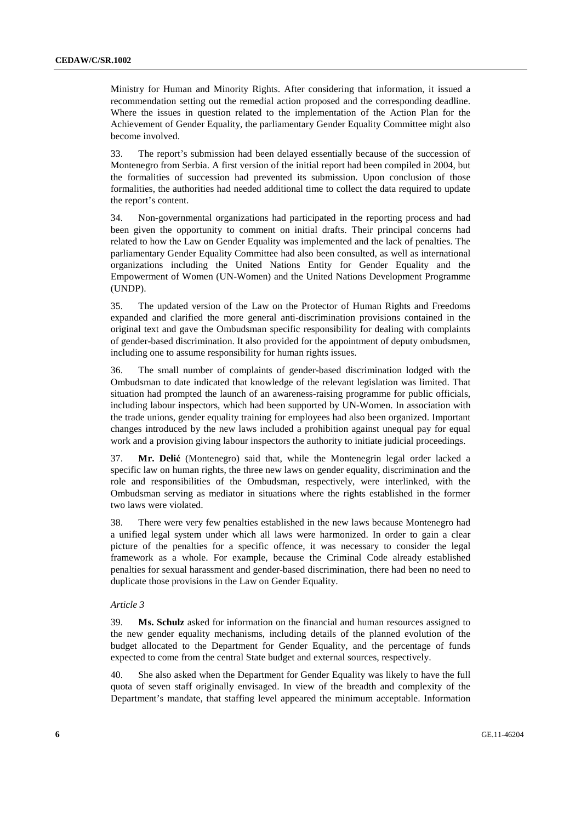Ministry for Human and Minority Rights. After considering that information, it issued a recommendation setting out the remedial action proposed and the corresponding deadline. Where the issues in question related to the implementation of the Action Plan for the Achievement of Gender Equality, the parliamentary Gender Equality Committee might also become involved.

33. The report's submission had been delayed essentially because of the succession of Montenegro from Serbia. A first version of the initial report had been compiled in 2004, but the formalities of succession had prevented its submission. Upon conclusion of those formalities, the authorities had needed additional time to collect the data required to update the report's content.

34. Non-governmental organizations had participated in the reporting process and had been given the opportunity to comment on initial drafts. Their principal concerns had related to how the Law on Gender Equality was implemented and the lack of penalties. The parliamentary Gender Equality Committee had also been consulted, as well as international organizations including the United Nations Entity for Gender Equality and the Empowerment of Women (UN-Women) and the United Nations Development Programme (UNDP).

35. The updated version of the Law on the Protector of Human Rights and Freedoms expanded and clarified the more general anti-discrimination provisions contained in the original text and gave the Ombudsman specific responsibility for dealing with complaints of gender-based discrimination. It also provided for the appointment of deputy ombudsmen, including one to assume responsibility for human rights issues.

36. The small number of complaints of gender-based discrimination lodged with the Ombudsman to date indicated that knowledge of the relevant legislation was limited. That situation had prompted the launch of an awareness-raising programme for public officials, including labour inspectors, which had been supported by UN-Women. In association with the trade unions, gender equality training for employees had also been organized. Important changes introduced by the new laws included a prohibition against unequal pay for equal work and a provision giving labour inspectors the authority to initiate judicial proceedings.

37. **Mr. Delić** (Montenegro) said that, while the Montenegrin legal order lacked a specific law on human rights, the three new laws on gender equality, discrimination and the role and responsibilities of the Ombudsman, respectively, were interlinked, with the Ombudsman serving as mediator in situations where the rights established in the former two laws were violated.

38. There were very few penalties established in the new laws because Montenegro had a unified legal system under which all laws were harmonized. In order to gain a clear picture of the penalties for a specific offence, it was necessary to consider the legal framework as a whole. For example, because the Criminal Code already established penalties for sexual harassment and gender-based discrimination, there had been no need to duplicate those provisions in the Law on Gender Equality.

#### *Article 3*

39. **Ms. Schulz** asked for information on the financial and human resources assigned to the new gender equality mechanisms, including details of the planned evolution of the budget allocated to the Department for Gender Equality, and the percentage of funds expected to come from the central State budget and external sources, respectively.

40. She also asked when the Department for Gender Equality was likely to have the full quota of seven staff originally envisaged. In view of the breadth and complexity of the Department's mandate, that staffing level appeared the minimum acceptable. Information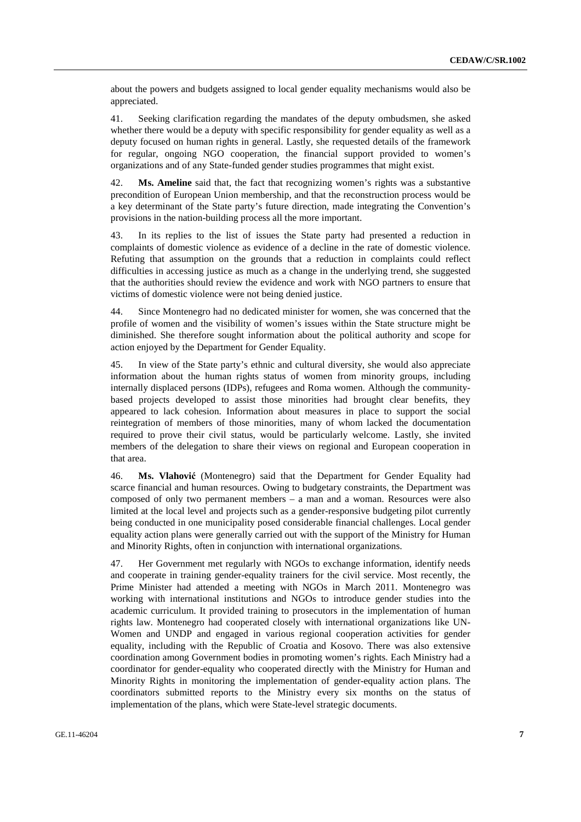about the powers and budgets assigned to local gender equality mechanisms would also be appreciated.

41. Seeking clarification regarding the mandates of the deputy ombudsmen, she asked whether there would be a deputy with specific responsibility for gender equality as well as a deputy focused on human rights in general. Lastly, she requested details of the framework for regular, ongoing NGO cooperation, the financial support provided to women's organizations and of any State-funded gender studies programmes that might exist.

42. **Ms. Ameline** said that, the fact that recognizing women's rights was a substantive precondition of European Union membership, and that the reconstruction process would be a key determinant of the State party's future direction, made integrating the Convention's provisions in the nation-building process all the more important.

43. In its replies to the list of issues the State party had presented a reduction in complaints of domestic violence as evidence of a decline in the rate of domestic violence. Refuting that assumption on the grounds that a reduction in complaints could reflect difficulties in accessing justice as much as a change in the underlying trend, she suggested that the authorities should review the evidence and work with NGO partners to ensure that victims of domestic violence were not being denied justice.

44. Since Montenegro had no dedicated minister for women, she was concerned that the profile of women and the visibility of women's issues within the State structure might be diminished. She therefore sought information about the political authority and scope for action enjoyed by the Department for Gender Equality.

45. In view of the State party's ethnic and cultural diversity, she would also appreciate information about the human rights status of women from minority groups, including internally displaced persons (IDPs), refugees and Roma women. Although the communitybased projects developed to assist those minorities had brought clear benefits, they appeared to lack cohesion. Information about measures in place to support the social reintegration of members of those minorities, many of whom lacked the documentation required to prove their civil status, would be particularly welcome. Lastly, she invited members of the delegation to share their views on regional and European cooperation in that area.

46. **Ms. Vlahović** (Montenegro) said that the Department for Gender Equality had scarce financial and human resources. Owing to budgetary constraints, the Department was composed of only two permanent members – a man and a woman. Resources were also limited at the local level and projects such as a gender-responsive budgeting pilot currently being conducted in one municipality posed considerable financial challenges. Local gender equality action plans were generally carried out with the support of the Ministry for Human and Minority Rights, often in conjunction with international organizations.

47. Her Government met regularly with NGOs to exchange information, identify needs and cooperate in training gender-equality trainers for the civil service. Most recently, the Prime Minister had attended a meeting with NGOs in March 2011. Montenegro was working with international institutions and NGOs to introduce gender studies into the academic curriculum. It provided training to prosecutors in the implementation of human rights law. Montenegro had cooperated closely with international organizations like UN-Women and UNDP and engaged in various regional cooperation activities for gender equality, including with the Republic of Croatia and Kosovo. There was also extensive coordination among Government bodies in promoting women's rights. Each Ministry had a coordinator for gender-equality who cooperated directly with the Ministry for Human and Minority Rights in monitoring the implementation of gender-equality action plans. The coordinators submitted reports to the Ministry every six months on the status of implementation of the plans, which were State-level strategic documents.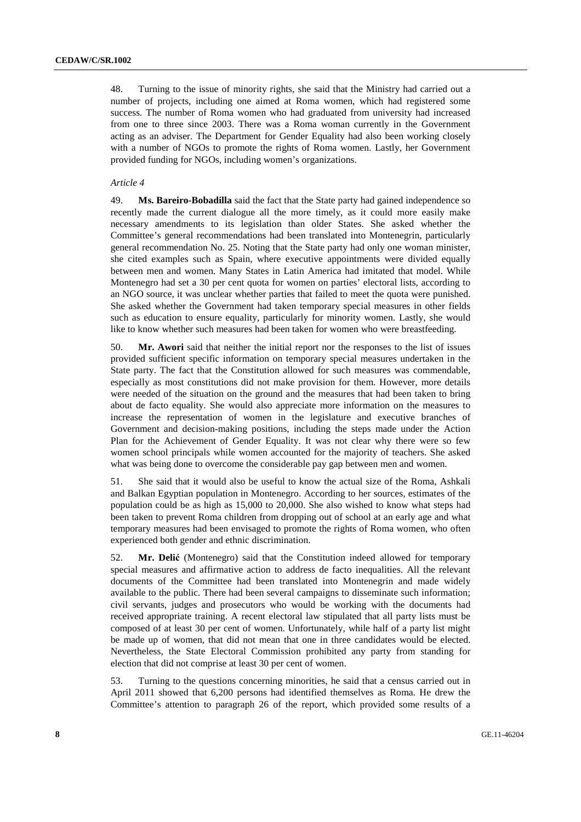48. Turning to the issue of minority rights, she said that the Ministry had carried out a number of projects, including one aimed at Roma women, which had registered some success. The number of Roma women who had graduated from university had increased from one to three since 2003. There was a Roma woman currently in the Government acting as an adviser. The Department for Gender Equality had also been working closely with a number of NGOs to promote the rights of Roma women. Lastly, her Government provided funding for NGOs, including women's organizations.

#### *Article 4*

49. **Ms. Bareiro-Bobadilla** said the fact that the State party had gained independence so recently made the current dialogue all the more timely, as it could more easily make necessary amendments to its legislation than older States. She asked whether the Committee's general recommendations had been translated into Montenegrin, particularly general recommendation No. 25. Noting that the State party had only one woman minister, she cited examples such as Spain, where executive appointments were divided equally between men and women. Many States in Latin America had imitated that model. While Montenegro had set a 30 per cent quota for women on parties' electoral lists, according to an NGO source, it was unclear whether parties that failed to meet the quota were punished. She asked whether the Government had taken temporary special measures in other fields such as education to ensure equality, particularly for minority women. Lastly, she would like to know whether such measures had been taken for women who were breastfeeding.

50. **Mr. Awori** said that neither the initial report nor the responses to the list of issues provided sufficient specific information on temporary special measures undertaken in the State party. The fact that the Constitution allowed for such measures was commendable, especially as most constitutions did not make provision for them. However, more details were needed of the situation on the ground and the measures that had been taken to bring about de facto equality. She would also appreciate more information on the measures to increase the representation of women in the legislature and executive branches of Government and decision-making positions, including the steps made under the Action Plan for the Achievement of Gender Equality. It was not clear why there were so few women school principals while women accounted for the majority of teachers. She asked what was being done to overcome the considerable pay gap between men and women.

51. She said that it would also be useful to know the actual size of the Roma, Ashkali and Balkan Egyptian population in Montenegro. According to her sources, estimates of the population could be as high as 15,000 to 20,000. She also wished to know what steps had been taken to prevent Roma children from dropping out of school at an early age and what temporary measures had been envisaged to promote the rights of Roma women, who often experienced both gender and ethnic discrimination.

52. **Mr. Delić** (Montenegro) said that the Constitution indeed allowed for temporary special measures and affirmative action to address de facto inequalities. All the relevant documents of the Committee had been translated into Montenegrin and made widely available to the public. There had been several campaigns to disseminate such information; civil servants, judges and prosecutors who would be working with the documents had received appropriate training. A recent electoral law stipulated that all party lists must be composed of at least 30 per cent of women. Unfortunately, while half of a party list might be made up of women, that did not mean that one in three candidates would be elected. Nevertheless, the State Electoral Commission prohibited any party from standing for election that did not comprise at least 30 per cent of women.

53. Turning to the questions concerning minorities, he said that a census carried out in April 2011 showed that 6,200 persons had identified themselves as Roma. He drew the Committee's attention to paragraph 26 of the report, which provided some results of a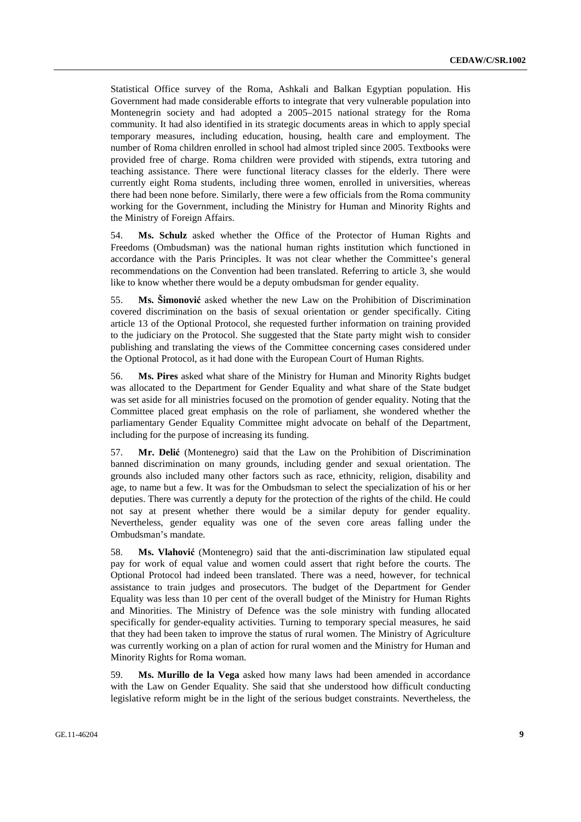Statistical Office survey of the Roma, Ashkali and Balkan Egyptian population. His Government had made considerable efforts to integrate that very vulnerable population into Montenegrin society and had adopted a 2005–2015 national strategy for the Roma community. It had also identified in its strategic documents areas in which to apply special temporary measures, including education, housing, health care and employment. The number of Roma children enrolled in school had almost tripled since 2005. Textbooks were provided free of charge. Roma children were provided with stipends, extra tutoring and teaching assistance. There were functional literacy classes for the elderly. There were currently eight Roma students, including three women, enrolled in universities, whereas there had been none before. Similarly, there were a few officials from the Roma community working for the Government, including the Ministry for Human and Minority Rights and the Ministry of Foreign Affairs.

54. **Ms. Schulz** asked whether the Office of the Protector of Human Rights and Freedoms (Ombudsman) was the national human rights institution which functioned in accordance with the Paris Principles. It was not clear whether the Committee's general recommendations on the Convention had been translated. Referring to article 3, she would like to know whether there would be a deputy ombudsman for gender equality.

55. **Ms. Šimonović** asked whether the new Law on the Prohibition of Discrimination covered discrimination on the basis of sexual orientation or gender specifically. Citing article 13 of the Optional Protocol, she requested further information on training provided to the judiciary on the Protocol. She suggested that the State party might wish to consider publishing and translating the views of the Committee concerning cases considered under the Optional Protocol, as it had done with the European Court of Human Rights.

56. **Ms. Pires** asked what share of the Ministry for Human and Minority Rights budget was allocated to the Department for Gender Equality and what share of the State budget was set aside for all ministries focused on the promotion of gender equality. Noting that the Committee placed great emphasis on the role of parliament, she wondered whether the parliamentary Gender Equality Committee might advocate on behalf of the Department, including for the purpose of increasing its funding.

57. **Mr. Delić** (Montenegro) said that the Law on the Prohibition of Discrimination banned discrimination on many grounds, including gender and sexual orientation. The grounds also included many other factors such as race, ethnicity, religion, disability and age, to name but a few. It was for the Ombudsman to select the specialization of his or her deputies. There was currently a deputy for the protection of the rights of the child. He could not say at present whether there would be a similar deputy for gender equality. Nevertheless, gender equality was one of the seven core areas falling under the Ombudsman's mandate.

58. **Ms. Vlahović** (Montenegro) said that the anti-discrimination law stipulated equal pay for work of equal value and women could assert that right before the courts. The Optional Protocol had indeed been translated. There was a need, however, for technical assistance to train judges and prosecutors. The budget of the Department for Gender Equality was less than 10 per cent of the overall budget of the Ministry for Human Rights and Minorities. The Ministry of Defence was the sole ministry with funding allocated specifically for gender-equality activities. Turning to temporary special measures, he said that they had been taken to improve the status of rural women. The Ministry of Agriculture was currently working on a plan of action for rural women and the Ministry for Human and Minority Rights for Roma woman.

59. **Ms. Murillo de la Vega** asked how many laws had been amended in accordance with the Law on Gender Equality. She said that she understood how difficult conducting legislative reform might be in the light of the serious budget constraints. Nevertheless, the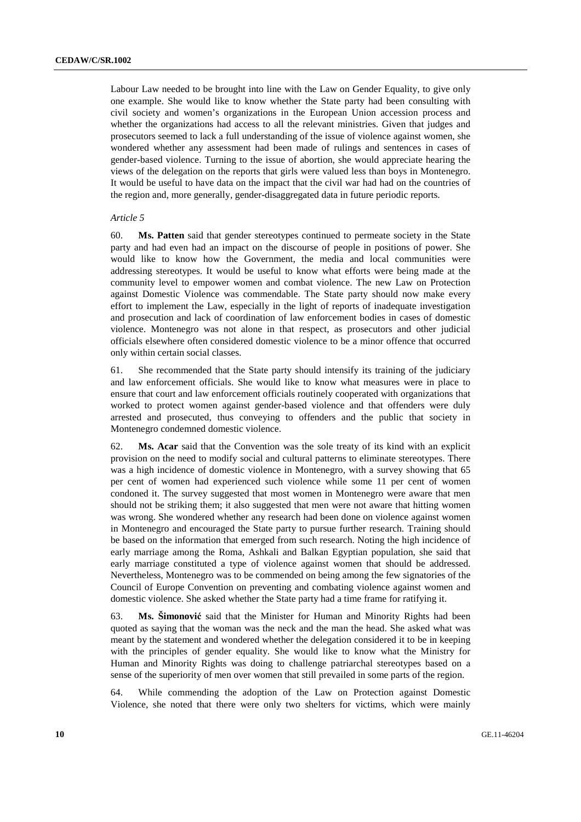Labour Law needed to be brought into line with the Law on Gender Equality, to give only one example. She would like to know whether the State party had been consulting with civil society and women's organizations in the European Union accession process and whether the organizations had access to all the relevant ministries. Given that judges and prosecutors seemed to lack a full understanding of the issue of violence against women, she wondered whether any assessment had been made of rulings and sentences in cases of gender-based violence. Turning to the issue of abortion, she would appreciate hearing the views of the delegation on the reports that girls were valued less than boys in Montenegro. It would be useful to have data on the impact that the civil war had had on the countries of the region and, more generally, gender-disaggregated data in future periodic reports.

#### *Article 5*

60. **Ms. Patten** said that gender stereotypes continued to permeate society in the State party and had even had an impact on the discourse of people in positions of power. She would like to know how the Government, the media and local communities were addressing stereotypes. It would be useful to know what efforts were being made at the community level to empower women and combat violence. The new Law on Protection against Domestic Violence was commendable. The State party should now make every effort to implement the Law, especially in the light of reports of inadequate investigation and prosecution and lack of coordination of law enforcement bodies in cases of domestic violence. Montenegro was not alone in that respect, as prosecutors and other judicial officials elsewhere often considered domestic violence to be a minor offence that occurred only within certain social classes.

61. She recommended that the State party should intensify its training of the judiciary and law enforcement officials. She would like to know what measures were in place to ensure that court and law enforcement officials routinely cooperated with organizations that worked to protect women against gender-based violence and that offenders were duly arrested and prosecuted, thus conveying to offenders and the public that society in Montenegro condemned domestic violence.

62. **Ms. Acar** said that the Convention was the sole treaty of its kind with an explicit provision on the need to modify social and cultural patterns to eliminate stereotypes. There was a high incidence of domestic violence in Montenegro, with a survey showing that 65 per cent of women had experienced such violence while some 11 per cent of women condoned it. The survey suggested that most women in Montenegro were aware that men should not be striking them; it also suggested that men were not aware that hitting women was wrong. She wondered whether any research had been done on violence against women in Montenegro and encouraged the State party to pursue further research. Training should be based on the information that emerged from such research. Noting the high incidence of early marriage among the Roma, Ashkali and Balkan Egyptian population, she said that early marriage constituted a type of violence against women that should be addressed. Nevertheless, Montenegro was to be commended on being among the few signatories of the Council of Europe Convention on preventing and combating violence against women and domestic violence. She asked whether the State party had a time frame for ratifying it.

63. **Ms. Šimonović** said that the Minister for Human and Minority Rights had been quoted as saying that the woman was the neck and the man the head. She asked what was meant by the statement and wondered whether the delegation considered it to be in keeping with the principles of gender equality. She would like to know what the Ministry for Human and Minority Rights was doing to challenge patriarchal stereotypes based on a sense of the superiority of men over women that still prevailed in some parts of the region.

64. While commending the adoption of the Law on Protection against Domestic Violence, she noted that there were only two shelters for victims, which were mainly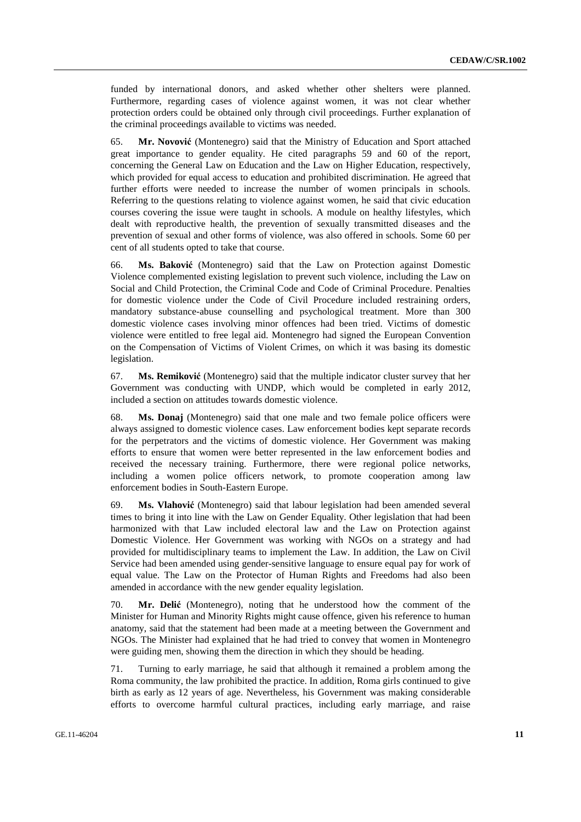funded by international donors, and asked whether other shelters were planned. Furthermore, regarding cases of violence against women, it was not clear whether protection orders could be obtained only through civil proceedings. Further explanation of the criminal proceedings available to victims was needed.

65. **Mr. Novović** (Montenegro) said that the Ministry of Education and Sport attached great importance to gender equality. He cited paragraphs 59 and 60 of the report, concerning the General Law on Education and the Law on Higher Education, respectively, which provided for equal access to education and prohibited discrimination. He agreed that further efforts were needed to increase the number of women principals in schools. Referring to the questions relating to violence against women, he said that civic education courses covering the issue were taught in schools. A module on healthy lifestyles, which dealt with reproductive health, the prevention of sexually transmitted diseases and the prevention of sexual and other forms of violence, was also offered in schools. Some 60 per cent of all students opted to take that course.

66. **Ms. Baković** (Montenegro) said that the Law on Protection against Domestic Violence complemented existing legislation to prevent such violence, including the Law on Social and Child Protection, the Criminal Code and Code of Criminal Procedure. Penalties for domestic violence under the Code of Civil Procedure included restraining orders, mandatory substance-abuse counselling and psychological treatment. More than 300 domestic violence cases involving minor offences had been tried. Victims of domestic violence were entitled to free legal aid. Montenegro had signed the European Convention on the Compensation of Victims of Violent Crimes, on which it was basing its domestic legislation.

67. **Ms. Remiković** (Montenegro) said that the multiple indicator cluster survey that her Government was conducting with UNDP, which would be completed in early 2012, included a section on attitudes towards domestic violence.

68. **Ms. Donaj** (Montenegro) said that one male and two female police officers were always assigned to domestic violence cases. Law enforcement bodies kept separate records for the perpetrators and the victims of domestic violence. Her Government was making efforts to ensure that women were better represented in the law enforcement bodies and received the necessary training. Furthermore, there were regional police networks, including a women police officers network, to promote cooperation among law enforcement bodies in South-Eastern Europe.

69. **Ms. Vlahović** (Montenegro) said that labour legislation had been amended several times to bring it into line with the Law on Gender Equality. Other legislation that had been harmonized with that Law included electoral law and the Law on Protection against Domestic Violence. Her Government was working with NGOs on a strategy and had provided for multidisciplinary teams to implement the Law. In addition, the Law on Civil Service had been amended using gender-sensitive language to ensure equal pay for work of equal value. The Law on the Protector of Human Rights and Freedoms had also been amended in accordance with the new gender equality legislation.

70. **Mr. Delić** (Montenegro), noting that he understood how the comment of the Minister for Human and Minority Rights might cause offence, given his reference to human anatomy, said that the statement had been made at a meeting between the Government and NGOs. The Minister had explained that he had tried to convey that women in Montenegro were guiding men, showing them the direction in which they should be heading.

71. Turning to early marriage, he said that although it remained a problem among the Roma community, the law prohibited the practice. In addition, Roma girls continued to give birth as early as 12 years of age. Nevertheless, his Government was making considerable efforts to overcome harmful cultural practices, including early marriage, and raise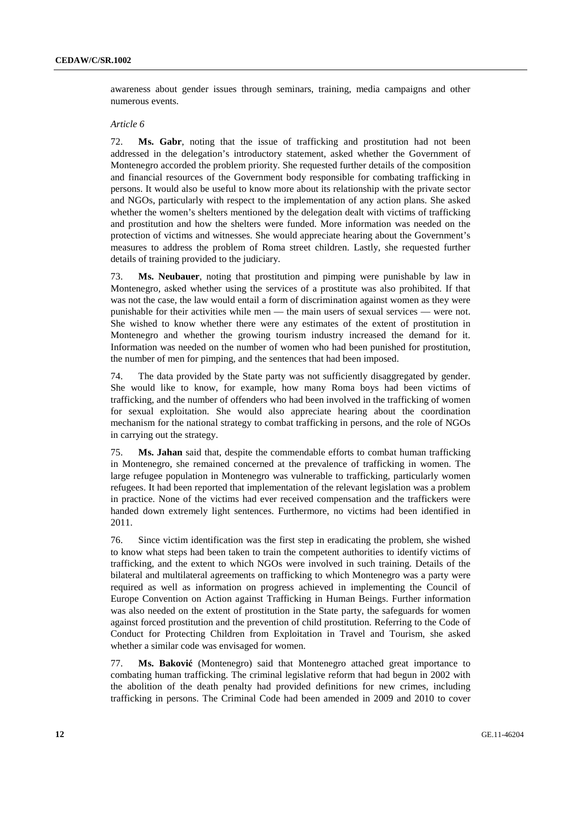awareness about gender issues through seminars, training, media campaigns and other numerous events.

#### *Article 6*

72. **Ms. Gabr**, noting that the issue of trafficking and prostitution had not been addressed in the delegation's introductory statement, asked whether the Government of Montenegro accorded the problem priority. She requested further details of the composition and financial resources of the Government body responsible for combating trafficking in persons. It would also be useful to know more about its relationship with the private sector and NGOs, particularly with respect to the implementation of any action plans. She asked whether the women's shelters mentioned by the delegation dealt with victims of trafficking and prostitution and how the shelters were funded. More information was needed on the protection of victims and witnesses. She would appreciate hearing about the Government's measures to address the problem of Roma street children. Lastly, she requested further details of training provided to the judiciary.

73. **Ms. Neubauer**, noting that prostitution and pimping were punishable by law in Montenegro, asked whether using the services of a prostitute was also prohibited. If that was not the case, the law would entail a form of discrimination against women as they were punishable for their activities while men — the main users of sexual services — were not. She wished to know whether there were any estimates of the extent of prostitution in Montenegro and whether the growing tourism industry increased the demand for it. Information was needed on the number of women who had been punished for prostitution, the number of men for pimping, and the sentences that had been imposed.

74. The data provided by the State party was not sufficiently disaggregated by gender. She would like to know, for example, how many Roma boys had been victims of trafficking, and the number of offenders who had been involved in the trafficking of women for sexual exploitation. She would also appreciate hearing about the coordination mechanism for the national strategy to combat trafficking in persons, and the role of NGOs in carrying out the strategy.

75. **Ms. Jahan** said that, despite the commendable efforts to combat human trafficking in Montenegro, she remained concerned at the prevalence of trafficking in women. The large refugee population in Montenegro was vulnerable to trafficking, particularly women refugees. It had been reported that implementation of the relevant legislation was a problem in practice. None of the victims had ever received compensation and the traffickers were handed down extremely light sentences. Furthermore, no victims had been identified in 2011.

76. Since victim identification was the first step in eradicating the problem, she wished to know what steps had been taken to train the competent authorities to identify victims of trafficking, and the extent to which NGOs were involved in such training. Details of the bilateral and multilateral agreements on trafficking to which Montenegro was a party were required as well as information on progress achieved in implementing the Council of Europe Convention on Action against Trafficking in Human Beings. Further information was also needed on the extent of prostitution in the State party, the safeguards for women against forced prostitution and the prevention of child prostitution. Referring to the Code of Conduct for Protecting Children from Exploitation in Travel and Tourism, she asked whether a similar code was envisaged for women.

77. **Ms. Baković** (Montenegro) said that Montenegro attached great importance to combating human trafficking. The criminal legislative reform that had begun in 2002 with the abolition of the death penalty had provided definitions for new crimes, including trafficking in persons. The Criminal Code had been amended in 2009 and 2010 to cover